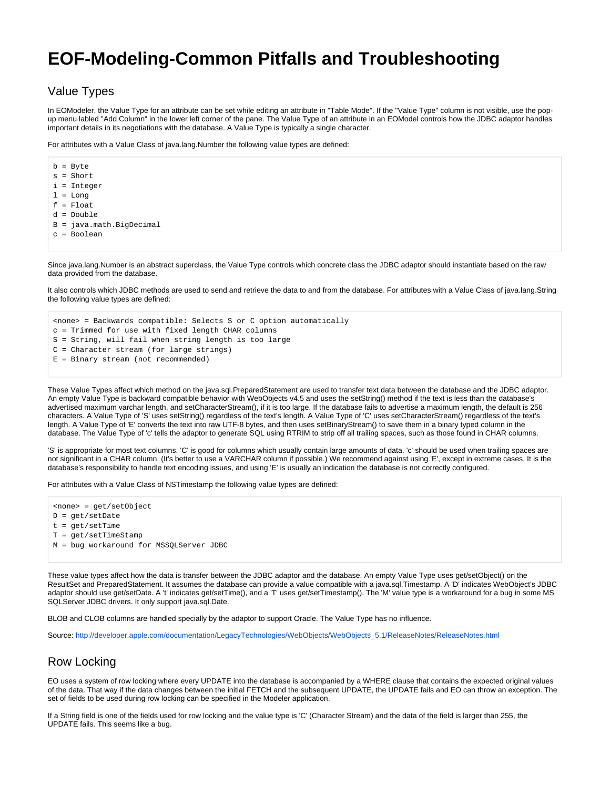## **EOF-Modeling-Common Pitfalls and Troubleshooting**

## Value Types

In EOModeler, the Value Type for an attribute can be set while editing an attribute in "Table Mode". If the "Value Type" column is not visible, use the popup menu labled "Add Column" in the lower left corner of the pane. The Value Type of an attribute in an EOModel controls how the JDBC adaptor handles important details in its negotiations with the database. A Value Type is typically a single character.

For attributes with a Value Class of java.lang.Number the following value types are defined:

 $b = B$ vte s = Short i = Integer  $l = Long$  $f =$  Float d = Double B = java.math.BigDecimal c = Boolean

Since java.lang.Number is an abstract superclass, the Value Type controls which concrete class the JDBC adaptor should instantiate based on the raw data provided from the database.

It also controls which JDBC methods are used to send and retrieve the data to and from the database. For attributes with a Value Class of java.lang.String the following value types are defined:

<none> = Backwards compatible: Selects S or C option automatically c = Trimmed for use with fixed length CHAR columns S = String, will fail when string length is too large C = Character stream (for large strings) E = Binary stream (not recommended)

These Value Types affect which method on the java.sql.PreparedStatement are used to transfer text data between the database and the JDBC adaptor. An empty Value Type is backward compatible behavior with WebObjects v4.5 and uses the setString() method if the text is less than the database's advertised maximum varchar length, and setCharacterStream(), if it is too large. If the database fails to advertise a maximum length, the default is 256 characters. A Value Type of 'S' uses setString() regardless of the text's length. A Value Type of 'C' uses setCharacterStream() regardless of the text's length. A Value Type of 'E' converts the text into raw UTF-8 bytes, and then uses setBinaryStream() to save them in a binary typed column in the database. The Value Type of 'c' tells the adaptor to generate SQL using RTRIM to strip off all trailing spaces, such as those found in CHAR columns.

'S' is appropriate for most text columns. 'C' is good for columns which usually contain large amounts of data. 'c' should be used when trailing spaces are not significant in a CHAR column. (It's better to use a VARCHAR column if possible.) We recommend against using 'E', except in extreme cases. It is the database's responsibility to handle text encoding issues, and using 'E' is usually an indication the database is not correctly configured.

For attributes with a Value Class of NSTimestamp the following value types are defined:

```
<none> = get/setObject
D = get/setDate
t = get/setTime
T = get/setTimeStamp
M = bug workaround for MSSQLServer JDBC
```
These value types affect how the data is transfer between the JDBC adaptor and the database. An empty Value Type uses get/setObject() on the ResultSet and PreparedStatement. It assumes the database can provide a value compatible with a java.sql.Timestamp. A 'D' indicates WebObject's JDBC adaptor should use get/setDate. A 't' indicates get/setTime(), and a 'T' uses get/setTimestamp(). The 'M' value type is a workaround for a bug in some MS SQLServer JDBC drivers. It only support java.sql.Date.

BLOB and CLOB columns are handled specially by the adaptor to support Oracle. The Value Type has no influence.

Source: [http://developer.apple.com/documentation/LegacyTechnologies/WebObjects/WebObjects\\_5.1/ReleaseNotes/ReleaseNotes.html](http://developer.apple.com/documentation/LegacyTechnologies/WebObjects/WebObjects_5.1/ReleaseNotes/ReleaseNotes.html)

## Row Locking

EO uses a system of row locking where every UPDATE into the database is accompanied by a WHERE clause that contains the expected original values of the data. That way if the data changes between the initial FETCH and the subsequent UPDATE, the UPDATE fails and EO can throw an exception. The set of fields to be used during row locking can be specified in the Modeler application.

If a String field is one of the fields used for row locking and the value type is 'C' (Character Stream) and the data of the field is larger than 255, the UPDATE fails. This seems like a bug.